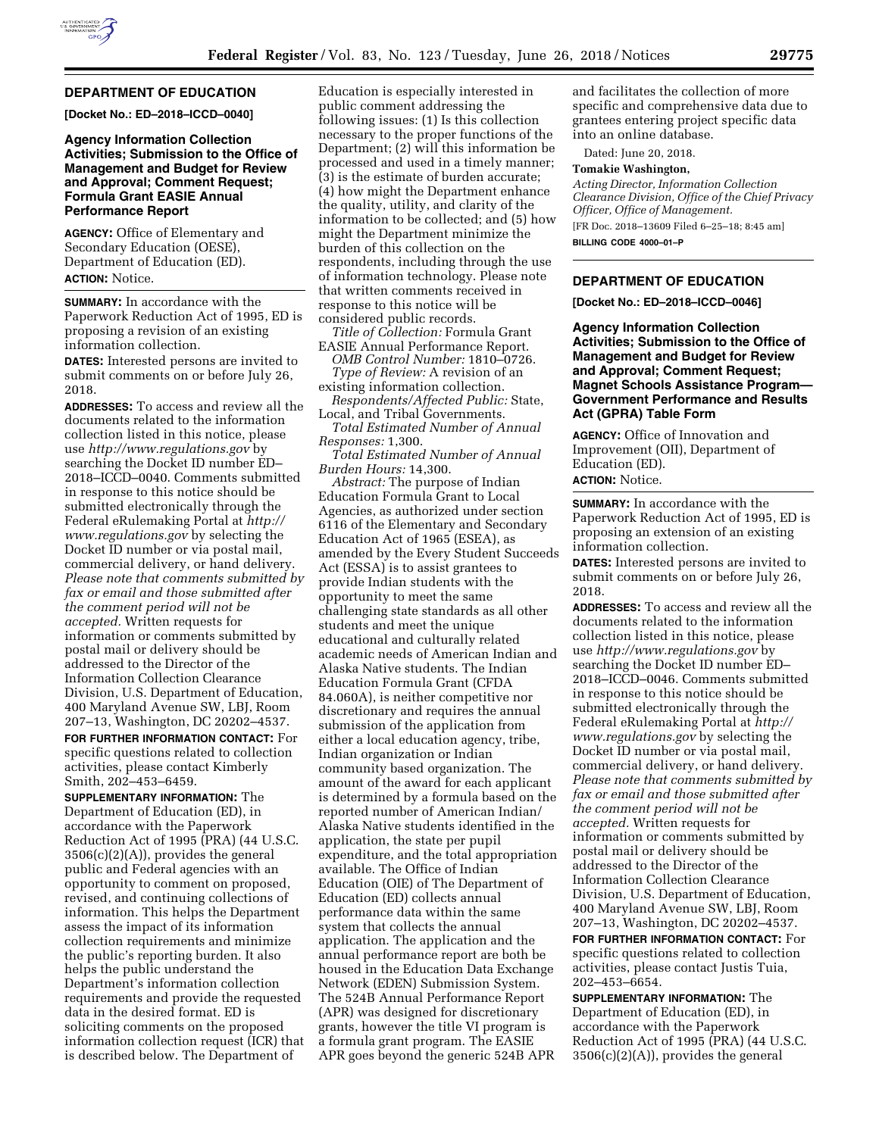# **DEPARTMENT OF EDUCATION**

**[Docket No.: ED–2018–ICCD–0040]** 

### **Agency Information Collection Activities; Submission to the Office of Management and Budget for Review and Approval; Comment Request; Formula Grant EASIE Annual Performance Report**

**AGENCY:** Office of Elementary and Secondary Education (OESE), Department of Education (ED). **ACTION:** Notice.

**SUMMARY:** In accordance with the Paperwork Reduction Act of 1995, ED is proposing a revision of an existing information collection.

**DATES:** Interested persons are invited to submit comments on or before July 26, 2018.

**ADDRESSES:** To access and review all the documents related to the information collection listed in this notice, please use *<http://www.regulations.gov>*by searching the Docket ID number ED– 2018–ICCD–0040. Comments submitted in response to this notice should be submitted electronically through the Federal eRulemaking Portal at *[http://](http://www.regulations.gov) [www.regulations.gov](http://www.regulations.gov)* by selecting the Docket ID number or via postal mail, commercial delivery, or hand delivery. *Please note that comments submitted by fax or email and those submitted after the comment period will not be accepted.* Written requests for information or comments submitted by postal mail or delivery should be addressed to the Director of the Information Collection Clearance Division, U.S. Department of Education, 400 Maryland Avenue SW, LBJ, Room 207–13, Washington, DC 20202–4537.

**FOR FURTHER INFORMATION CONTACT:** For specific questions related to collection activities, please contact Kimberly Smith, 202–453–6459.

**SUPPLEMENTARY INFORMATION:** The Department of Education (ED), in accordance with the Paperwork Reduction Act of 1995 (PRA) (44 U.S.C. 3506(c)(2)(A)), provides the general public and Federal agencies with an opportunity to comment on proposed, revised, and continuing collections of information. This helps the Department assess the impact of its information collection requirements and minimize the public's reporting burden. It also helps the public understand the Department's information collection requirements and provide the requested data in the desired format. ED is soliciting comments on the proposed information collection request (ICR) that is described below. The Department of

Education is especially interested in public comment addressing the following issues: (1) Is this collection necessary to the proper functions of the Department; (2) will this information be processed and used in a timely manner; (3) is the estimate of burden accurate; (4) how might the Department enhance the quality, utility, and clarity of the information to be collected; and (5) how might the Department minimize the burden of this collection on the respondents, including through the use of information technology. Please note that written comments received in response to this notice will be considered public records.

*Title of Collection:* Formula Grant EASIE Annual Performance Report.

*OMB Control Number:* 1810–0726. *Type of Review:* A revision of an existing information collection.

*Respondents/Affected Public:* State,

Local, and Tribal Governments. *Total Estimated Number of Annual Responses:* 1,300.

*Total Estimated Number of Annual Burden Hours:* 14,300.

*Abstract:* The purpose of Indian Education Formula Grant to Local Agencies, as authorized under section 6116 of the Elementary and Secondary Education Act of 1965 (ESEA), as amended by the Every Student Succeeds Act (ESSA) is to assist grantees to provide Indian students with the opportunity to meet the same challenging state standards as all other students and meet the unique educational and culturally related academic needs of American Indian and Alaska Native students. The Indian Education Formula Grant (CFDA 84.060A), is neither competitive nor discretionary and requires the annual submission of the application from either a local education agency, tribe, Indian organization or Indian community based organization. The amount of the award for each applicant is determined by a formula based on the reported number of American Indian/ Alaska Native students identified in the application, the state per pupil expenditure, and the total appropriation available. The Office of Indian Education (OIE) of The Department of Education (ED) collects annual performance data within the same system that collects the annual application. The application and the annual performance report are both be housed in the Education Data Exchange Network (EDEN) Submission System. The 524B Annual Performance Report (APR) was designed for discretionary grants, however the title VI program is a formula grant program. The EASIE APR goes beyond the generic 524B APR

and facilitates the collection of more specific and comprehensive data due to grantees entering project specific data into an online database.

Dated: June 20, 2018.

#### **Tomakie Washington,**

*Acting Director, Information Collection Clearance Division, Office of the Chief Privacy Officer, Office of Management.*  [FR Doc. 2018–13609 Filed 6–25–18; 8:45 am] **BILLING CODE 4000–01–P** 

# **DEPARTMENT OF EDUCATION**

**[Docket No.: ED–2018–ICCD–0046]** 

**Agency Information Collection Activities; Submission to the Office of Management and Budget for Review and Approval; Comment Request; Magnet Schools Assistance Program— Government Performance and Results Act (GPRA) Table Form** 

**AGENCY:** Office of Innovation and Improvement (OII), Department of Education (ED).

# **ACTION:** Notice.

**SUMMARY:** In accordance with the Paperwork Reduction Act of 1995, ED is proposing an extension of an existing information collection.

**DATES:** Interested persons are invited to submit comments on or before July 26, 2018.

**ADDRESSES:** To access and review all the documents related to the information collection listed in this notice, please use *<http://www.regulations.gov>*by searching the Docket ID number ED– 2018–ICCD–0046. Comments submitted in response to this notice should be submitted electronically through the Federal eRulemaking Portal at *[http://](http://www.regulations.gov) [www.regulations.gov](http://www.regulations.gov)* by selecting the Docket ID number or via postal mail, commercial delivery, or hand delivery. *Please note that comments submitted by fax or email and those submitted after the comment period will not be accepted.* Written requests for information or comments submitted by postal mail or delivery should be addressed to the Director of the Information Collection Clearance Division, U.S. Department of Education, 400 Maryland Avenue SW, LBJ, Room 207–13, Washington, DC 20202–4537.

**FOR FURTHER INFORMATION CONTACT:** For specific questions related to collection activities, please contact Justis Tuia, 202–453–6654.

**SUPPLEMENTARY INFORMATION:** The Department of Education (ED), in accordance with the Paperwork Reduction Act of 1995 (PRA) (44 U.S.C.  $3506(c)(2)(A)$ , provides the general